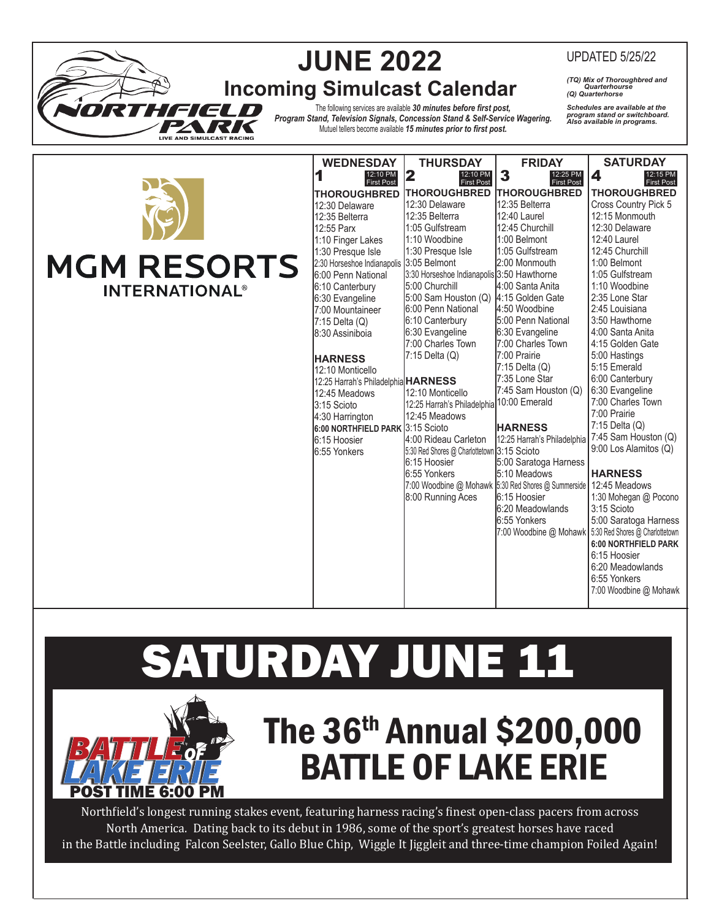|                                  | <b>WEDNESDAY</b>                                                          | <b>THURSDAY</b>                                                                 | <b>FRIDAY</b>                                                                                                              | <b>SATURDAY</b>                                                          |
|----------------------------------|---------------------------------------------------------------------------|---------------------------------------------------------------------------------|----------------------------------------------------------------------------------------------------------------------------|--------------------------------------------------------------------------|
|                                  | 1<br>12:10 PM<br><b>First Post</b><br><b>THOROUGHBRED</b>                 | 2<br>12:10 PM<br>First Post<br><b>ITHOROUGHBRED</b>                             | 3<br>12:25 PM<br>First Post<br><b>ITHOROUGHBRED</b>                                                                        | $\boldsymbol{4}$<br>12:15 PM<br><b>First Post</b><br><b>THOROUGHBRED</b> |
|                                  | 12:30 Delaware<br>12:35 Belterra<br>12:55 Parx<br>1:10 Finger Lakes       | 12:30 Delaware<br>12:35 Belterra<br>1:05 Gulfstream<br>1:10 Woodbine            | 12:35 Belterra<br>12:40 Laurel<br>12:45 Churchill<br>1:00 Belmont                                                          | Cross Country Pick 5<br>12:15 Monmouth<br>12:30 Delaware<br>12:40 Laurel |
| <b>MGM RESORTS</b>               | 1:30 Presque Isle<br>2:30 Horseshoe Indianapolis<br>6:00 Penn National    | 1:30 Presque Isle<br>3:05 Belmont<br>3:30 Horseshoe Indianapolis 3:50 Hawthorne | 1:05 Gulfstream<br>2:00 Monmouth                                                                                           | 12:45 Churchill<br>1:00 Belmont<br>1:05 Gulfstream                       |
| <b>INTERNATIONAL<sup>®</sup></b> | 6:10 Canterbury<br>6:30 Evangeline<br>7:00 Mountaineer                    | 5:00 Churchill<br>5:00 Sam Houston (Q)<br>6:00 Penn National                    | 4:00 Santa Anita<br>4:15 Golden Gate<br>4:50 Woodbine                                                                      | 1:10 Woodbine<br>2:35 Lone Star<br>2:45 Louisiana                        |
|                                  | 7:15 Delta (Q)<br>8:30 Assiniboia                                         | 6:10 Canterbury<br>6:30 Evangeline<br>7:00 Charles Town                         | 5:00 Penn National<br>6:30 Evangeline<br>7:00 Charles Town                                                                 | 3:50 Hawthorne<br>4:00 Santa Anita<br>4:15 Golden Gate                   |
|                                  | <b>HARNESS</b><br>12:10 Monticello<br>12:25 Harrah's Philadelphia HARNESS | 7:15 Delta (Q)                                                                  | 7:00 Prairie<br>$7:15$ Delta $(Q)$<br>7:35 Lone Star                                                                       | 5:00 Hastings<br>5:15 Emerald<br>6:00 Canterbury                         |
|                                  | 12:45 Meadows<br>3:15 Scioto<br>4:30 Harrington                           | 12:10 Monticello<br>12:25 Harrah's Philadelphia<br>12:45 Meadows                | 7:45 Sam Houston (Q)<br>10:00 Emerald                                                                                      | 6:30 Evangeline<br>7:00 Charles Town<br>7:00 Prairie                     |
|                                  | 6:00 NORTHFIELD PARK 3:15 Scioto<br>6:15 Hoosier<br>6:55 Yonkers          | 4:00 Rideau Carleton<br>5:30 Red Shores @ Charlottetown 3:15 Scioto             | <b>HARNESS</b><br>12:25 Harrah's Philadelphia                                                                              | $7:15$ Delta $(Q)$<br>7:45 Sam Houston (Q)<br>9:00 Los Alamitos (Q)      |
|                                  |                                                                           | 6:15 Hoosier<br>6:55 Yonkers<br>8:00 Running Aces                               | 5:00 Saratoga Harness<br>5:10 Meadows<br>7:00 Woodbine @ Mohawk 5:30 Red Shores @ Summerside 12:45 Meadows<br>6:15 Hoosier | <b>HARNESS</b><br>1:30 Mohegan @ Pocono                                  |
|                                  |                                                                           |                                                                                 | 6:20 Meadowlands<br>6:55 Yonkers                                                                                           | 3:15 Scioto<br>5:00 Saratoga Harness                                     |

**JUNE 2022**

UPDATED 5/25/22

*(TQ) Mix of Thoroughbred and*

## **SATURDAY JUNE 11**



## The 36th Annual \$200,000 BATTLE OF LAKE ERIE

Northfield's longest running stakes event, featuring harness racing's finest open-class pacers from across North America. Dating back to its debut in 1986, some of the sport's greatest horses have raced in the Battle including Falcon Seelster, Gallo Blue Chip, Wiggle It Jiggleit and three-time champion Foiled Again!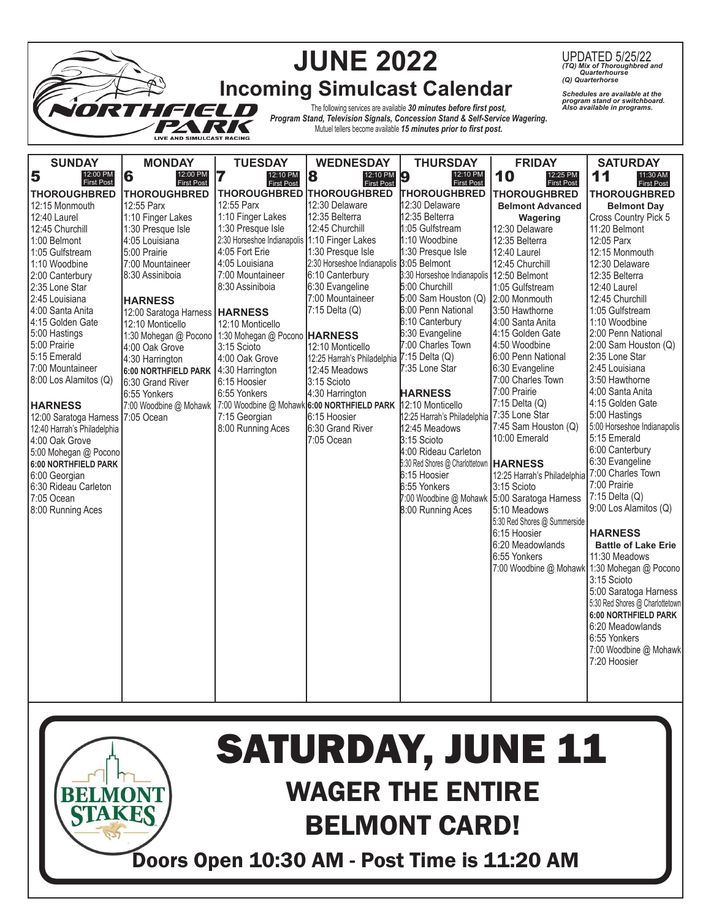|                                               |                                                         |                                             | <b>JUNE 2022</b>                                                             |                                                                    |                                              | UPDATED 5/25/22<br>(TQ) Mix of Thoroughbred and<br>Quarterhourse<br>(Q) Quarterhorse           |
|-----------------------------------------------|---------------------------------------------------------|---------------------------------------------|------------------------------------------------------------------------------|--------------------------------------------------------------------|----------------------------------------------|------------------------------------------------------------------------------------------------|
|                                               |                                                         |                                             | <b>Incoming Simulcast Calendar</b>                                           |                                                                    |                                              | Schedules are available at the<br>program stand or switchboard.<br>Also available in programs. |
|                                               | e (e u d                                                |                                             | Program Stand, Television Signals, Concession Stand & Self-Service Wagering. | The following services are available 30 minutes before first post, |                                              |                                                                                                |
|                                               | <b>LIVE AND SIMULCAST RACING</b>                        |                                             |                                                                              | Mutuel tellers become available 15 minutes prior to first post.    |                                              |                                                                                                |
|                                               |                                                         |                                             |                                                                              |                                                                    |                                              |                                                                                                |
| <b>SUNDAY</b><br>12:00 PM                     | <b>MONDAY</b><br>12:00 PM                               | <b>TUESDAY</b><br>12:10 PM                  | <b>WEDNESDAY</b><br>12:10 PM                                                 | <b>THURSDAY</b><br>12:10 PM                                        | <b>FRIDAY</b><br>12:25 PM                    | <b>SATURDAY</b><br>11:30 AM                                                                    |
| 5<br><b>First Post</b>                        | 6<br><b>First Post</b>                                  | 7<br><b>First Post</b>                      | 8<br><b>First Post</b>                                                       | 9<br><b>First Post</b>                                             | 10<br><b>First Post</b>                      | 11<br><b>First Post</b>                                                                        |
| <b>THOROUGHBRED</b>                           | <b>THOROUGHBRED</b>                                     | <b>THOROUGHBRED</b><br>12:55 Parx           | <b>THOROUGHBRED</b>                                                          | <b>THOROUGHBRED</b>                                                | <b>THOROUGHBRED</b>                          | <b>THOROUGHBRED</b>                                                                            |
| 12:15 Monmouth<br>12:40 Laurel                | 12:55 Parx<br>1:10 Finger Lakes                         | 1:10 Finger Lakes                           | 12:30 Delaware<br>12:35 Belterra                                             | 12:30 Delaware<br>12:35 Belterra                                   | <b>Belmont Advanced</b>                      | <b>Belmont Day</b>                                                                             |
| 12:45 Churchill                               | 1:30 Presque Isle                                       | 1:30 Presque Isle                           | 12:45 Churchill                                                              | 1:05 Gulfstream                                                    | Wagering<br>12:30 Delaware                   | Cross Country Pick 5<br>11:20 Belmont                                                          |
| 1:00 Belmont                                  | 4:05 Louisiana                                          | 2:30 Horseshoe Indianapolis                 | 1:10 Finger Lakes                                                            | 1:10 Woodbine                                                      | 12:35 Belterra                               | 12:05 Parx                                                                                     |
| 1:05 Gulfstream                               | 5:00 Prairie                                            | 4:05 Fort Erie                              | 1:30 Presque Isle                                                            | 1:30 Presque Isle                                                  | 12:40 Laurel                                 | 12:15 Monmouth                                                                                 |
| 1:10 Woodbine                                 | 7:00 Mountaineer                                        | 4:05 Louisiana                              | 2:30 Horseshoe Indianapolis                                                  | 3:05 Belmont                                                       | 12:45 Churchill                              | 12:30 Delaware                                                                                 |
| 2:00 Canterbury                               | 8:30 Assiniboia                                         | 7:00 Mountaineer                            | 6:10 Canterbury                                                              | 3:30 Horseshoe Indianapolis   12:50 Belmont                        |                                              | 12:35 Belterra                                                                                 |
| 2:35 Lone Star                                |                                                         | 8:30 Assiniboia                             | 6:30 Evangeline                                                              | 5:00 Churchill                                                     | 1:05 Gulfstream                              | 12:40 Laurel                                                                                   |
| 2:45 Louisiana                                | <b>HARNESS</b>                                          |                                             | 7:00 Mountaineer                                                             | 5:00 Sam Houston (Q)                                               | 2:00 Monmouth                                | 12:45 Churchill                                                                                |
| 4:00 Santa Anita                              | 12:00 Saratoga Harness                                  | <b>HARNESS</b>                              | 7:15 Delta (Q)                                                               | 6:00 Penn National                                                 | 3:50 Hawthorne                               | 1:05 Gulfstream                                                                                |
| 4:15 Golden Gate                              | 12:10 Monticello                                        | 12:10 Monticello                            |                                                                              | 6:10 Canterbury                                                    | 4:00 Santa Anita                             | 1:10 Woodbine                                                                                  |
| 5:00 Hastings                                 | 1:30 Mohegan @ Pocono   1:30 Mohegan @ Pocono   HARNESS |                                             |                                                                              | 6:30 Evangeline                                                    | 4:15 Golden Gate                             | 2:00 Penn National                                                                             |
| 5:00 Prairie                                  | 4:00 Oak Grove                                          | 3:15 Scioto                                 | 12:10 Monticello                                                             | 7:00 Charles Town                                                  | 4:50 Woodbine                                | 2:00 Sam Houston (Q)                                                                           |
| 5:15 Emerald                                  | 4:30 Harrington                                         | 4:00 Oak Grove                              | 12:25 Harrah's Philadelphia                                                  | 7:15 Delta (Q)                                                     | 6:00 Penn National                           | 2:35 Lone Star                                                                                 |
| 7:00 Mountaineer                              | 6:00 NORTHFIELD PARK                                    | 4:30 Harrington                             | 12:45 Meadows                                                                | 7:35 Lone Star                                                     | 6:30 Evangeline                              | 2:45 Louisiana                                                                                 |
| 8:00 Los Alamitos (Q)                         | 6:30 Grand River                                        | 6:15 Hoosier                                | 3:15 Scioto                                                                  |                                                                    | 7:00 Charles Town                            | 3:50 Hawthorne                                                                                 |
|                                               | 6:55 Yonkers                                            | 6:55 Yonkers                                | 4:30 Harrington                                                              | <b>HARNESS</b>                                                     | 7:00 Prairie<br>7:15 Delta (Q)               | 4:00 Santa Anita<br>4:15 Golden Gate                                                           |
| <b>HARNESS</b>                                | 7:00 Woodbine @ Mohawk                                  | 7:00 Woodbine @ Mohawk 6:00 NORTHFIELD PARK | 6:15 Hoosier                                                                 | 12:10 Monticello<br>12:25 Harrah's Philadelphia                    | 7:35 Lone Star                               | 5:00 Hastings                                                                                  |
| 12:00 Saratoga Harness 7:05 Ocean             |                                                         | 7:15 Georgian<br>8:00 Running Aces          | 6:30 Grand River                                                             | 12:45 Meadows                                                      | 7:45 Sam Houston (Q)                         | 5:00 Horseshoe Indianapolis                                                                    |
| 12:40 Harrah's Philadelphia<br>4:00 Oak Grove |                                                         |                                             | 7:05 Ocean                                                                   | 3:15 Scioto                                                        | 10:00 Emerald                                | 5:15 Emerald                                                                                   |
| 5:00 Mohegan @ Pocono                         |                                                         |                                             |                                                                              | 4:00 Rideau Carleton                                               |                                              | 6:00 Canterbury                                                                                |
| 6:00 NORTHFIELD PARK                          |                                                         |                                             |                                                                              | 5:30 Red Shores @ Charlottetown                                    | <b>HARNESS</b>                               | 6:30 Evangeline                                                                                |
| 6:00 Georgian                                 |                                                         |                                             |                                                                              | 6:15 Hoosier                                                       | 12:25 Harrah's Philadelphia                  | 7:00 Charles Town                                                                              |
| 6:30 Rideau Carleton                          |                                                         |                                             |                                                                              | 6:55 Yonkers                                                       | 3:15 Scioto                                  | 7:00 Prairie                                                                                   |
| 7:05 Ocean                                    |                                                         |                                             |                                                                              |                                                                    | 7:00 Woodbine @ Mohawk 5:00 Saratoga Harness | 7:15 Delta (Q)                                                                                 |
| 8:00 Running Aces                             |                                                         |                                             |                                                                              | 8:00 Running Aces                                                  | 5:10 Meadows                                 | 9:00 Los Alamitos (Q)                                                                          |
|                                               |                                                         |                                             |                                                                              |                                                                    | 5:30 Red Shores @ Summerside                 |                                                                                                |
|                                               |                                                         |                                             |                                                                              |                                                                    | 6:15 Hoosier                                 | <b>HARNESS</b>                                                                                 |
|                                               |                                                         |                                             |                                                                              |                                                                    | 6:20 Meadowlands                             | <b>Battle of Lake Erie</b>                                                                     |
|                                               |                                                         |                                             |                                                                              |                                                                    | 6:55 Yonkers                                 | 11:30 Meadows                                                                                  |
|                                               |                                                         |                                             |                                                                              |                                                                    |                                              | 7:00 Woodbine @ Mohawk 1:30 Mohegan @ Pocono                                                   |
|                                               |                                                         |                                             |                                                                              |                                                                    |                                              | 3:15 Scioto                                                                                    |
|                                               |                                                         |                                             |                                                                              |                                                                    |                                              | 5:00 Saratoga Harness                                                                          |
|                                               |                                                         |                                             |                                                                              |                                                                    |                                              | 5:30 Red Shores @ Charlottetown                                                                |
|                                               |                                                         |                                             |                                                                              |                                                                    |                                              | 6:00 NORTHFIELD PARK<br>6:20 Meadowlands                                                       |
|                                               |                                                         |                                             |                                                                              |                                                                    |                                              | 6:55 Yonkers                                                                                   |
|                                               |                                                         |                                             |                                                                              |                                                                    |                                              | 7:00 Woodbine @ Mohawk                                                                         |
|                                               |                                                         |                                             |                                                                              |                                                                    |                                              | 7:20 Hoosier                                                                                   |
|                                               |                                                         |                                             |                                                                              |                                                                    |                                              |                                                                                                |
|                                               |                                                         |                                             |                                                                              |                                                                    |                                              |                                                                                                |
|                                               |                                                         |                                             |                                                                              |                                                                    |                                              |                                                                                                |



## WAGER THE ENTIRE BELMONT CARD! SATURDAY, JUNE 11

Doors Open 10:30 AM - Post Time is 11:20 AM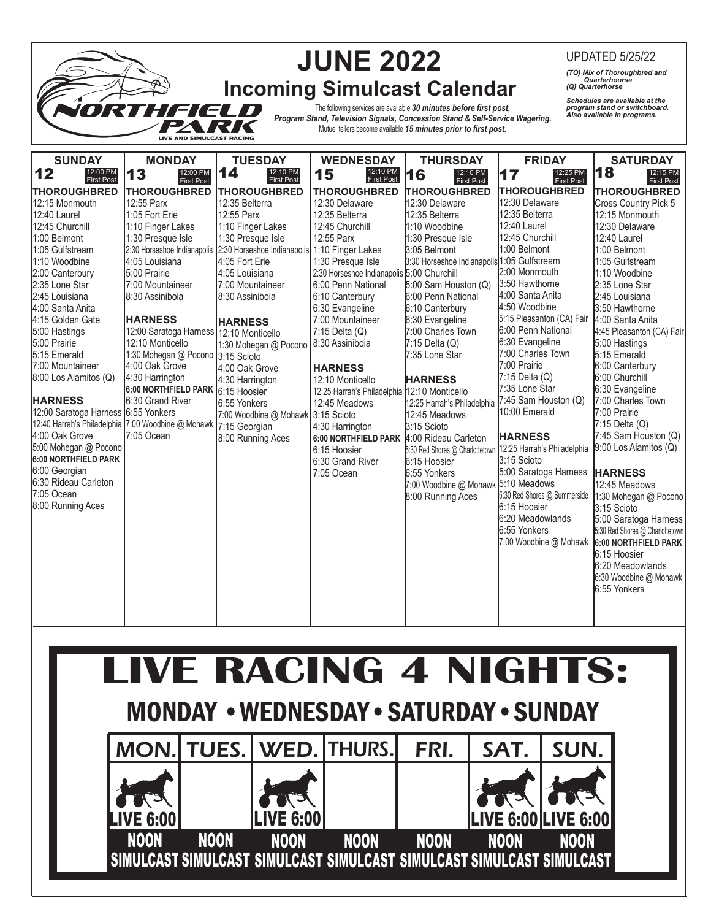|                                                                                                                                                                                                                                                                                                                                                                                                                                                                                                            |                                                                                                                                                                                                                                                                                                                                                                                                                                                       |                                                                                                                                                                                                                                                                                                                                                                                           | <b>JUNE 2022</b>                                                                                                                                                                                                                                                                                                                                                                                                                             | <b>Incoming Simulcast Calendar</b>                                                                                                                                                                                                                                                                                                                                                                                                                                                                                                                                                    |                                                                                                                                                                                                                                                                                                                                                                                                                                                                                                                                 | <b>UPDATED 5/25/22</b><br>(TQ) Mix of Thoroughbred and<br>Quarterhourse<br>(Q) Quarterhorse                                                                                                                                                                                                                                                                                                                                                                                                                                                                                                                                                                                       |  |
|------------------------------------------------------------------------------------------------------------------------------------------------------------------------------------------------------------------------------------------------------------------------------------------------------------------------------------------------------------------------------------------------------------------------------------------------------------------------------------------------------------|-------------------------------------------------------------------------------------------------------------------------------------------------------------------------------------------------------------------------------------------------------------------------------------------------------------------------------------------------------------------------------------------------------------------------------------------------------|-------------------------------------------------------------------------------------------------------------------------------------------------------------------------------------------------------------------------------------------------------------------------------------------------------------------------------------------------------------------------------------------|----------------------------------------------------------------------------------------------------------------------------------------------------------------------------------------------------------------------------------------------------------------------------------------------------------------------------------------------------------------------------------------------------------------------------------------------|---------------------------------------------------------------------------------------------------------------------------------------------------------------------------------------------------------------------------------------------------------------------------------------------------------------------------------------------------------------------------------------------------------------------------------------------------------------------------------------------------------------------------------------------------------------------------------------|---------------------------------------------------------------------------------------------------------------------------------------------------------------------------------------------------------------------------------------------------------------------------------------------------------------------------------------------------------------------------------------------------------------------------------------------------------------------------------------------------------------------------------|-----------------------------------------------------------------------------------------------------------------------------------------------------------------------------------------------------------------------------------------------------------------------------------------------------------------------------------------------------------------------------------------------------------------------------------------------------------------------------------------------------------------------------------------------------------------------------------------------------------------------------------------------------------------------------------|--|
| Schedules are available at the<br>program stand or switchboard.<br>Also available in programs.<br>The following services are available 30 minutes before first post,<br>2 (200<br>Program Stand, Television Signals, Concession Stand & Self-Service Wagering.<br>Mutuel tellers become available 15 minutes prior to first post.<br>LIVE AND SIMULCAST RACING                                                                                                                                             |                                                                                                                                                                                                                                                                                                                                                                                                                                                       |                                                                                                                                                                                                                                                                                                                                                                                           |                                                                                                                                                                                                                                                                                                                                                                                                                                              |                                                                                                                                                                                                                                                                                                                                                                                                                                                                                                                                                                                       |                                                                                                                                                                                                                                                                                                                                                                                                                                                                                                                                 |                                                                                                                                                                                                                                                                                                                                                                                                                                                                                                                                                                                                                                                                                   |  |
| <b>SUNDAY</b><br>12<br>12:00 PM<br><b>First Post</b><br><b>THOROUGHBRED</b>                                                                                                                                                                                                                                                                                                                                                                                                                                | <b>MONDAY</b><br>12:00 PM<br>13<br><b>First Post</b><br><b>THOROUGHBRED</b>                                                                                                                                                                                                                                                                                                                                                                           | <b>TUESDAY</b><br>14<br>12:10 PM<br><b>First Post</b><br><b>THOROUGHBRED</b>                                                                                                                                                                                                                                                                                                              | <b>WEDNESDAY</b><br>12:10 PM<br>15<br><b>First Post</b><br><b>THOROUGHBRED</b>                                                                                                                                                                                                                                                                                                                                                               | <b>THURSDAY</b><br>12:10 PM<br>16<br><b>First Post</b><br>THOROUGHBRED                                                                                                                                                                                                                                                                                                                                                                                                                                                                                                                | <b>FRIDAY</b><br>12:25 PM<br>17<br><b>First Post</b><br><b>THOROUGHBRED</b>                                                                                                                                                                                                                                                                                                                                                                                                                                                     | <b>SATURDAY</b><br>18<br>12:15 PM<br><b>First Post</b><br><b>THOROUGHBRED</b>                                                                                                                                                                                                                                                                                                                                                                                                                                                                                                                                                                                                     |  |
| 12:15 Monmouth<br>12:40 Laurel<br>12:45 Churchill<br>1:00 Belmont<br>1:05 Gulfstream<br>1:10 Woodbine<br>2:00 Canterbury<br>2:35 Lone Star<br>2:45 Louisiana<br>4:00 Santa Anita<br>4:15 Golden Gate<br>5:00 Hastings<br>5:00 Prairie<br>5:15 Emerald<br>7:00 Mountaineer<br>8:00 Los Alamitos (Q)<br><b>HARNESS</b><br>12:00 Saratoga Harness 6:55 Yonkers<br>4:00 Oak Grove<br>5:00 Mohegan @ Pocono<br>6:00 NORTHFIELD PARK<br>6:00 Georgian<br>6:30 Rideau Carleton<br>7:05 Ocean<br>8:00 Running Aces | 12:55 Parx<br>1:05 Fort Erie<br>1:10 Finger Lakes<br>1:30 Presque Isle<br>4:05 Louisiana<br>5:00 Prairie<br>7:00 Mountaineer<br>8:30 Assiniboia<br><b>HARNESS</b><br>12:00 Saratoga Harness 12:10 Monticello<br>12:10 Monticello<br>1:30 Mohegan @ Pocono 3:15 Scioto<br>4:00 Oak Grove<br>4:30 Harrington<br>6:00 NORTHFIELD PARK 6:15 Hoosier<br>6:30 Grand River<br>12:40 Harrah's Philadelphia 7:00 Woodbine @ Mohawk 7:15 Georgian<br>7:05 Ocean | 12:35 Belterra<br>12:55 Parx<br>1:10 Finger Lakes<br>1:30 Presque Isle<br>2:30 Horseshoe Indianapolis 2:30 Horseshoe Indianapolis 1:10 Finger Lakes<br>4:05 Fort Erie<br>4:05 Louisiana<br>7:00 Mountaineer<br>8:30 Assiniboia<br><b>HARNESS</b><br>1:30 Mohegan @ Pocono<br>4:00 Oak Grove<br>4:30 Harrington<br>6:55 Yonkers<br>7:00 Woodbine @ Mohawk 3:15 Scioto<br>8:00 Running Aces | 12:30 Delaware<br>12:35 Belterra<br>12:45 Churchill<br>12:55 Parx<br>1:30 Presque Isle<br>2:30 Horseshoe Indianapolis 5:00 Churchill<br>6:00 Penn National<br>6:10 Canterbury<br>6:30 Evangeline<br>7:00 Mountaineer<br>7:15 Delta (Q)<br>8:30 Assiniboia<br><b>HARNESS</b><br>12:10 Monticello<br>12:25 Harrah's Philadelphia<br>12:45 Meadows<br>4:30 Harrington<br>6:00 NORTHFIELD PARK<br>6:15 Hoosier<br>6:30 Grand River<br>7:05 Ocean | 12:30 Delaware<br>12:35 Belterra<br>1:10 Woodbine<br>1:30 Presque Isle<br>3:05 Belmont<br>3:30 Horseshoe Indianapolis <sup>1:05</sup> Gulfstream<br>5:00 Sam Houston (Q)<br>6:00 Penn National<br>6:10 Canterbury<br>6:30 Evangeline<br>7:00 Charles Town<br>7:15 Delta (Q)<br>7:35 Lone Star<br><b>HARNESS</b><br>12:10 Monticello<br>12:25 Harrah's Philadelphia<br>12:45 Meadows<br>3:15 Scioto<br>4:00 Rideau Carleton<br>5:30 Red Shores @ Charlottetown 12:25 Harrah's Philadelphia<br>6:15 Hoosier<br>6:55 Yonkers<br>7:00 Woodbine @ Mohawk 5:10 Meadows<br>8:00 Running Aces | 12:30 Delaware<br>12:35 Belterra<br>12:40 Laurel<br>12:45 Churchill<br>1:00 Belmont<br>2:00 Monmouth<br>3:50 Hawthorne<br>4:00 Santa Anita<br>4:50 Woodbine<br>5:15 Pleasanton (CA) Fair<br>6:00 Penn National<br>6:30 Evangeline<br>7:00 Charles Town<br>7:00 Prairie<br>$7:15$ Delta $(Q)$<br>7:35 Lone Star<br>7:45 Sam Houston (Q)<br>10:00 Emerald<br><b>HARNESS</b><br>3:15 Scioto<br>5:00 Saratoga Harness<br>5:30 Red Shores @ Summerside<br>6:15 Hoosier<br>6:20 Meadowlands<br>6:55 Yonkers<br>7:00 Woodbine @ Mohawk | Cross Country Pick 5<br>12:15 Monmouth<br>12:30 Delaware<br>12:40 Laurel<br>1:00 Belmont<br>1:05 Gulfstream<br>1:10 Woodbine<br>2:35 Lone Star<br>2:45 Louisiana<br>3:50 Hawthorne<br>4:00 Santa Anita<br>4:45 Pleasanton (CA) Fair<br>5:00 Hastings<br>5:15 Emerald<br>6:00 Canterbury<br>6:00 Churchill<br>6:30 Evangeline<br>7:00 Charles Town<br>7:00 Prairie<br>7:15 Delta (Q)<br>7:45 Sam Houston (Q)<br>9:00 Los Alamitos (Q)<br><b>HARNESS</b><br>12:45 Meadows<br>1:30 Mohegan @ Pocono<br>3:15 Scioto<br>5:00 Saratoga Harness<br>5:30 Red Shores @ Charlottetown<br>6:00 NORTHFIELD PARK<br>6:15 Hoosier<br>6:20 Meadowlands<br>6:30 Woodbine @ Mohawk<br>6:55 Yonkers |  |

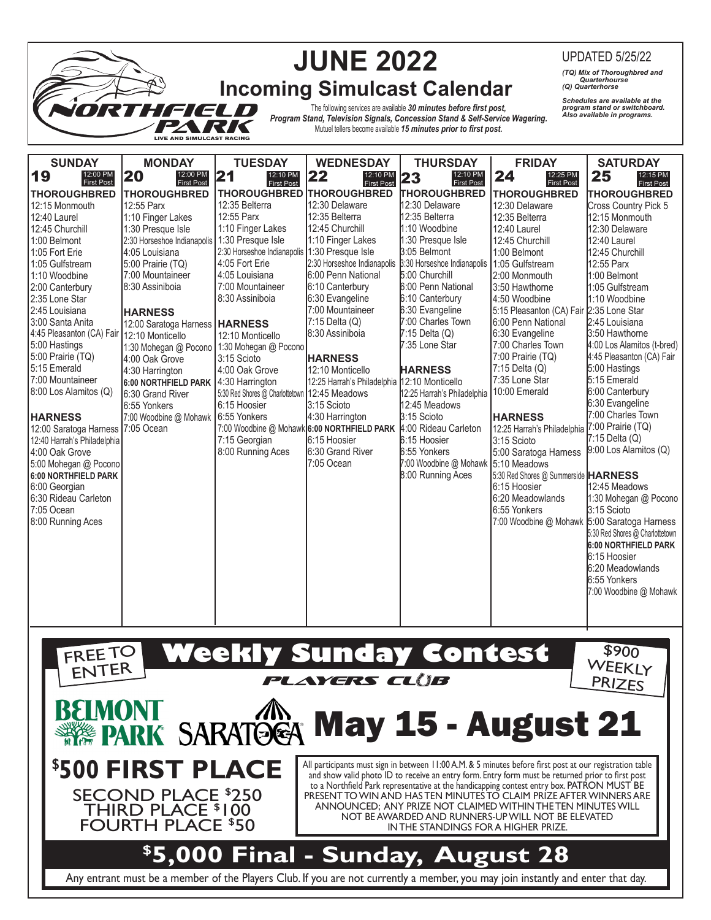|                                                                                                                                                                                                                                                                                                                                                                                                     |                                               |                                                            | <b>JUNE 2022</b>                             |                                                               |                                               | <b>UPDATED 5/25/22</b>                                            |  |
|-----------------------------------------------------------------------------------------------------------------------------------------------------------------------------------------------------------------------------------------------------------------------------------------------------------------------------------------------------------------------------------------------------|-----------------------------------------------|------------------------------------------------------------|----------------------------------------------|---------------------------------------------------------------|-----------------------------------------------|-------------------------------------------------------------------|--|
|                                                                                                                                                                                                                                                                                                                                                                                                     |                                               |                                                            |                                              |                                                               |                                               | (TQ) Mix of Thoroughbred and<br>Quarterhourse<br>(Q) Quarterhorse |  |
| <b>Incoming Simulcast Calendar</b><br>Schedules are available at the<br>The following services are available 30 minutes before first post,<br>program stand or switchboard.<br>Also available in programs.<br>ereun<br>Program Stand, Television Signals, Concession Stand & Self-Service Wagering.<br>Mutuel tellers become available 15 minutes prior to first post.<br>LIVE AND SIMULCAST RACING |                                               |                                                            |                                              |                                                               |                                               |                                                                   |  |
| <b>SUNDAY</b>                                                                                                                                                                                                                                                                                                                                                                                       | <b>MONDAY</b>                                 | <b>TUESDAY</b>                                             | <b>WEDNESDAY</b>                             | <b>THURSDAY</b>                                               | <b>FRIDAY</b>                                 | <b>SATURDAY</b>                                                   |  |
| 19<br>12:00 PM<br>First Post                                                                                                                                                                                                                                                                                                                                                                        | 20<br>12:00 PM<br><b>First Post</b>           | $\overline{\mathbf{2}}$ 1<br>12:10 PM<br><b>First Post</b> | 22<br>12:10 PM<br><b>First Post</b>          | 12:10 PM<br>23<br><b>First Post</b>                           | 24<br>12:25 PM<br><b>First Post</b>           | 25<br>12:15 PM<br><b>First Post</b>                               |  |
| <b>THOROUGHBRED</b>                                                                                                                                                                                                                                                                                                                                                                                 | <b>THOROUGHBRED</b>                           | <b>THOROUGHBRED</b>                                        | <b>THOROUGHBRED</b>                          | <b>THOROUGHBRED</b>                                           | <b>THOROUGHBRED</b>                           | <b>THOROUGHBRED</b>                                               |  |
| 12:15 Monmouth                                                                                                                                                                                                                                                                                                                                                                                      | 12:55 Parx                                    | 12:35 Belterra                                             | 12:30 Delaware                               | 12:30 Delaware                                                | 12:30 Delaware                                | Cross Country Pick 5                                              |  |
| 12:40 Laurel                                                                                                                                                                                                                                                                                                                                                                                        | 1:10 Finger Lakes                             | 12:55 Parx                                                 | 12:35 Belterra                               | 12:35 Belterra                                                | 12:35 Belterra                                | 12:15 Monmouth                                                    |  |
| 12:45 Churchill                                                                                                                                                                                                                                                                                                                                                                                     | 1:30 Presque Isle                             | 1:10 Finger Lakes                                          | 12:45 Churchill                              | 1:10 Woodbine                                                 | 12:40 Laurel                                  | 12:30 Delaware                                                    |  |
| 1:00 Belmont                                                                                                                                                                                                                                                                                                                                                                                        | 2:30 Horseshoe Indianapolis 1:30 Presque Isle |                                                            | 1:10 Finger Lakes                            | 1:30 Presque Isle                                             | 12:45 Churchill                               | 12:40 Laurel                                                      |  |
| 1:05 Fort Erie                                                                                                                                                                                                                                                                                                                                                                                      | 4:05 Louisiana                                | 2:30 Horseshoe Indianapolis 1:30 Presque Isle              |                                              | 3:05 Belmont                                                  | 1:00 Belmont                                  | 12:45 Churchill                                                   |  |
| 1:05 Gulfstream                                                                                                                                                                                                                                                                                                                                                                                     | 5:00 Prairie (TQ)                             | 4:05 Fort Erie                                             | 2:30 Horseshoe Indianapolis                  | 3:30 Horseshoe Indianapolis 1:05 Gulfstream<br>5:00 Churchill |                                               | 12:55 Parx                                                        |  |
| 1:10 Woodbine                                                                                                                                                                                                                                                                                                                                                                                       | 7:00 Mountaineer<br>8:30 Assiniboia           | 4:05 Louisiana                                             | 6:00 Penn National<br>6:10 Canterbury        | 6:00 Penn National                                            | 2:00 Monmouth                                 | 1:00 Belmont                                                      |  |
| 2:00 Canterbury<br>2:35 Lone Star                                                                                                                                                                                                                                                                                                                                                                   |                                               | 7:00 Mountaineer<br>8:30 Assiniboia                        | 6:30 Evangeline                              | 6:10 Canterbury                                               | 3:50 Hawthorne<br>4:50 Woodbine               | 1:05 Gulfstream<br>1:10 Woodbine                                  |  |
| 2:45 Louisiana                                                                                                                                                                                                                                                                                                                                                                                      |                                               |                                                            | 7:00 Mountaineer                             | 6:30 Evangeline                                               | 5:15 Pleasanton (CA) Fair 2:35 Lone Star      |                                                                   |  |
| 3:00 Santa Anita                                                                                                                                                                                                                                                                                                                                                                                    | <b>HARNESS</b>                                |                                                            | 7:15 Delta (Q)                               | 7:00 Charles Town                                             | 6:00 Penn National                            | 2:45 Louisiana                                                    |  |
| 4:45 Pleasanton (CA) Fair 12:10 Monticello                                                                                                                                                                                                                                                                                                                                                          | 12:00 Saratoga Harness   HARNESS              | 12:10 Monticello                                           | 8:30 Assiniboia                              | 7:15 Delta (Q)                                                | 6:30 Evangeline                               | 3:50 Hawthorne                                                    |  |
| 5:00 Hastings                                                                                                                                                                                                                                                                                                                                                                                       | 1:30 Mohegan @ Pocono 1:30 Mohegan @ Pocono   |                                                            |                                              | 7:35 Lone Star                                                | 7:00 Charles Town                             | 4:00 Los Alamitos (t-bred)                                        |  |
| 5:00 Prairie (TQ)                                                                                                                                                                                                                                                                                                                                                                                   | 4:00 Oak Grove                                | 3:15 Scioto                                                | <b>HARNESS</b>                               |                                                               | 7:00 Prairie (TQ)                             | 4:45 Pleasanton (CA) Fair                                         |  |
| 5:15 Emerald                                                                                                                                                                                                                                                                                                                                                                                        | 4:30 Harrington                               | 4:00 Oak Grove                                             | 12:10 Monticello                             | <b>HARNESS</b>                                                | $7:15$ Delta $(Q)$                            | 5:00 Hastings                                                     |  |
| 7:00 Mountaineer                                                                                                                                                                                                                                                                                                                                                                                    | 6:00 NORTHFIELD PARK                          | 14:30 Harrington                                           | 12:25 Harrah's Philadelphia 12:10 Monticello |                                                               | 7:35 Lone Star                                | 5:15 Emerald                                                      |  |
| 8:00 Los Alamitos (Q)                                                                                                                                                                                                                                                                                                                                                                               | 6:30 Grand River                              | 5:30 Red Shores @ Charlottetown 12:45 Meadows              |                                              | 12:25 Harrah's Philadelphia                                   | 10:00 Emerald                                 | 6:00 Canterbury                                                   |  |
|                                                                                                                                                                                                                                                                                                                                                                                                     | 6:55 Yonkers                                  | 6:15 Hoosier                                               | 3:15 Scioto                                  | 12:45 Meadows                                                 |                                               | 6:30 Evangeline                                                   |  |
| <b>HARNESS</b>                                                                                                                                                                                                                                                                                                                                                                                      | 7:00 Woodbine @ Mohawk                        | 6:55 Yonkers                                               | 4:30 Harrington                              | 3:15 Scioto                                                   | <b>HARNESS</b>                                | 7:00 Charles Town                                                 |  |
| 12:00 Saratoga Harness                                                                                                                                                                                                                                                                                                                                                                              | 7:05 Ocean                                    |                                                            | 7:00 Woodbine @ Mohawk 6:00 NORTHFIELD PARK  | 4:00 Rideau Carleton                                          | 12:25 Harrah's Philadelphia 7:00 Prairie (TQ) |                                                                   |  |
| 12:40 Harrah's Philadelphia                                                                                                                                                                                                                                                                                                                                                                         |                                               | 7:15 Georgian                                              | 6:15 Hoosier                                 | 6:15 Hoosier                                                  | 3:15 Scioto                                   | $7:15$ Delta $(Q)$                                                |  |
| 4:00 Oak Grove                                                                                                                                                                                                                                                                                                                                                                                      |                                               | 8:00 Running Aces                                          | 6:30 Grand River                             | 6:55 Yonkers                                                  | 5:00 Saratoga Harness                         | 9:00 Los Alamitos (Q)                                             |  |
| 5:00 Mohegan @ Pocono                                                                                                                                                                                                                                                                                                                                                                               |                                               |                                                            | 7:05 Ocean                                   | 7:00 Woodbine @ Mohawk 5:10 Meadows                           |                                               |                                                                   |  |
| 6:00 NORTHFIELD PARK                                                                                                                                                                                                                                                                                                                                                                                |                                               |                                                            |                                              | 8:00 Running Aces                                             | 5:30 Red Shores @ Summerside <b>HARNESS</b>   |                                                                   |  |
| 6:00 Georgian                                                                                                                                                                                                                                                                                                                                                                                       |                                               |                                                            |                                              |                                                               | 6:15 Hoosier                                  | 12:45 Meadows                                                     |  |
| 6:30 Rideau Carleton                                                                                                                                                                                                                                                                                                                                                                                |                                               |                                                            |                                              |                                                               | 6:20 Meadowlands                              | 1:30 Mohegan @ Pocono                                             |  |
| 7:05 Ocean                                                                                                                                                                                                                                                                                                                                                                                          |                                               |                                                            |                                              |                                                               | 6:55 Yonkers                                  | 3:15 Scioto                                                       |  |
| 8:00 Running Aces                                                                                                                                                                                                                                                                                                                                                                                   |                                               |                                                            |                                              |                                                               | 7:00 Woodbine @ Mohawk 5:00 Saratoga Harness  |                                                                   |  |
|                                                                                                                                                                                                                                                                                                                                                                                                     |                                               |                                                            |                                              |                                                               |                                               | 5:30 Red Shores @ Charlottetown                                   |  |
|                                                                                                                                                                                                                                                                                                                                                                                                     |                                               |                                                            |                                              |                                                               |                                               | 6:00 NORTHFIELD PARK<br>6:15 Hoosier                              |  |
|                                                                                                                                                                                                                                                                                                                                                                                                     |                                               |                                                            |                                              |                                                               |                                               | 6:20 Meadowlands                                                  |  |
|                                                                                                                                                                                                                                                                                                                                                                                                     |                                               |                                                            |                                              |                                                               |                                               | 6:55 Yonkers                                                      |  |
|                                                                                                                                                                                                                                                                                                                                                                                                     |                                               |                                                            |                                              |                                                               |                                               | 7:00 Woodbine @ Mohawk                                            |  |
|                                                                                                                                                                                                                                                                                                                                                                                                     |                                               |                                                            |                                              |                                                               |                                               |                                                                   |  |
|                                                                                                                                                                                                                                                                                                                                                                                                     |                                               |                                                            |                                              |                                                               |                                               |                                                                   |  |
|                                                                                                                                                                                                                                                                                                                                                                                                     |                                               |                                                            |                                              |                                                               |                                               |                                                                   |  |

 $\Delta$